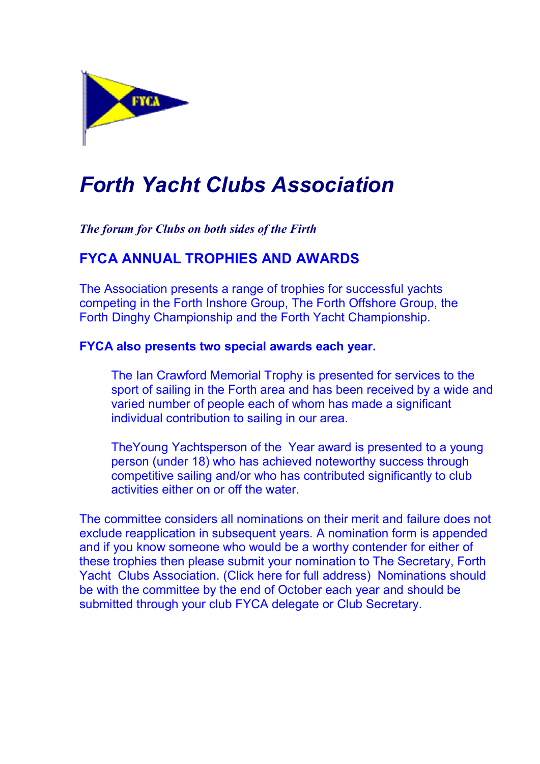

# Forth Yacht Clubs Association

The forum for Clubs on both sides of the Firth

### FYCA ANNUAL TROPHIES AND AWARDS

The Association presents a range of trophies for successful yachts competing in the Forth Inshore Group, The Forth Offshore Group, the Forth Dinghy Championship and the Forth Yacht Championship.

#### FYCA also presents two special awards each year.

The Ian Crawford Memorial Trophy is presented for services to the sport of sailing in the Forth area and has been received by a wide and varied number of people each of whom has made a significant individual contribution to sailing in our area.

TheYoung Yachtsperson of the Year award is presented to a young person (under 18) who has achieved noteworthy success through competitive sailing and/or who has contributed significantly to club activities either on or off the water.

The committee considers all nominations on their merit and failure does not exclude reapplication in subsequent years. A nomination form is appended and if you know someone who would be a worthy contender for either of these trophies then please submit your nomination to The Secretary, Forth Yacht Clubs Association. (Click here for full address) Nominations should be with the committee by the end of October each year and should be submitted through your club FYCA delegate or Club Secretary.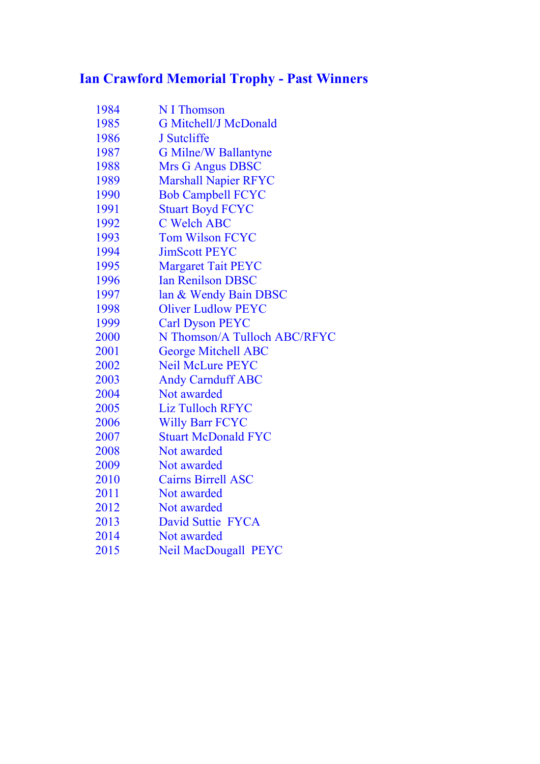## Ian Crawford Memorial Trophy - Past Winners

| 1984 | N I Thomson                  |
|------|------------------------------|
| 1985 | <b>G Mitchell/J McDonald</b> |
| 1986 | J Sutcliffe                  |
| 1987 | <b>G Milne/W Ballantyne</b>  |
| 1988 | <b>Mrs G Angus DBSC</b>      |
| 1989 | <b>Marshall Napier RFYC</b>  |
| 1990 | <b>Bob Campbell FCYC</b>     |
| 1991 | <b>Stuart Boyd FCYC</b>      |
| 1992 | <b>C Welch ABC</b>           |
| 1993 | <b>Tom Wilson FCYC</b>       |
| 1994 | <b>JimScott PEYC</b>         |
| 1995 | <b>Margaret Tait PEYC</b>    |
| 1996 | <b>Ian Renilson DBSC</b>     |
| 1997 | lan & Wendy Bain DBSC        |
| 1998 | <b>Oliver Ludlow PEYC</b>    |
| 1999 | <b>Carl Dyson PEYC</b>       |
| 2000 | N Thomson/A Tulloch ABC/RFYC |
| 2001 | <b>George Mitchell ABC</b>   |
| 2002 | <b>Neil McLure PEYC</b>      |
| 2003 | <b>Andy Carnduff ABC</b>     |
| 2004 | Not awarded                  |
| 2005 | <b>Liz Tulloch RFYC</b>      |
| 2006 | <b>Willy Barr FCYC</b>       |
| 2007 | <b>Stuart McDonald FYC</b>   |
| 2008 | Not awarded                  |
| 2009 | Not awarded                  |
| 2010 | <b>Cairns Birrell ASC</b>    |
| 2011 | Not awarded                  |
| 2012 | Not awarded                  |
| 2013 | David Suttie FYCA            |
| 2014 | Not awarded                  |
|      | $\frac{1}{2}$                |

Neil MacDougall PEYC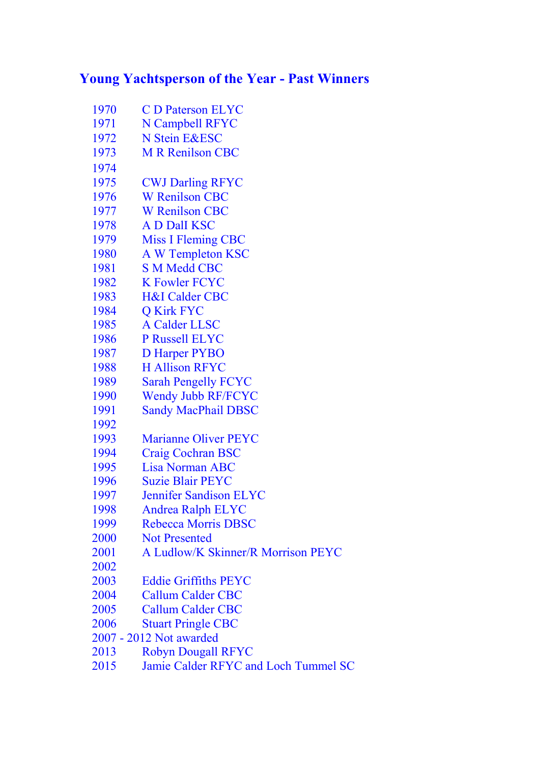#### Young Yachtsperson of the Year - Past Winners

- C D Paterson ELYC 1971 N Campbell RFYC
- 1972 N Stein E&ESC
- M R Renilson CBC
- 
- CWJ Darling RFYC
- W Renilson CBC
- W Renilson CBC
- A D DalI KSC
- Miss I Fleming CBC
- A W Templeton KSC
- S M Medd CBC
- 1982 K Fowler FCYC
- H&I Calder CBC
- Q Kirk FYC
- A Calder LLSC
- P Russell ELYC
- D Harper PYBO
- H Allison RFYC
- Sarah Pengelly FCYC
- Wendy Jubb RF/FCYC
- Sandy MacPhail DBSC
- 
- Marianne Oliver PEYC
- Craig Cochran BSC
- Lisa Norman ABC
- Suzie Blair PEYC
- Jennifer Sandison ELYC
- Andrea Ralph ELYC
- Rebecca Morris DBSC
- Not Presented
- A Ludlow/K Skinner/R Morrison PEYC
- 
- Eddie Griffiths PEYC
- Callum Calder CBC
- Callum Calder CBC
- Stuart Pringle CBC
- 2007 2012 Not awarded
- 2013 Robyn Dougall RFYC
- 2015 Jamie Calder RFYC and Loch Tummel SC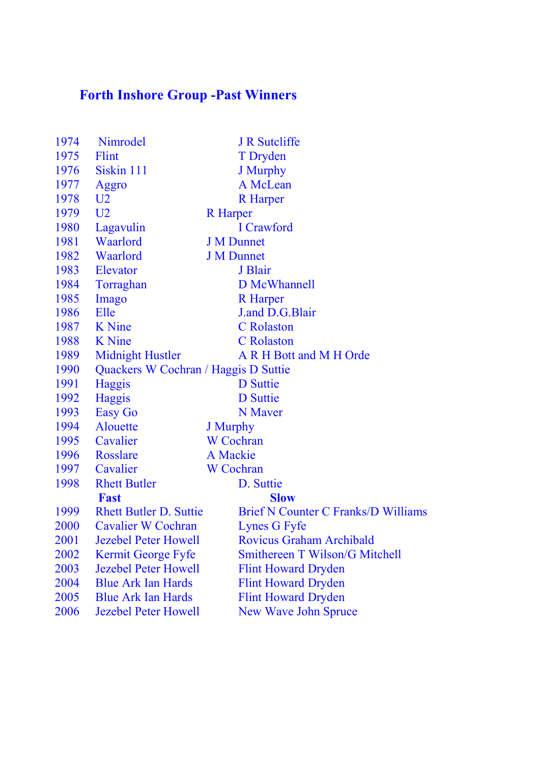## Forth Inshore Group -Past Winners

| 1974 | Nimrodel                             | <b>J R Sutcliffe</b>                       |
|------|--------------------------------------|--------------------------------------------|
| 1975 | Flint                                | T Dryden                                   |
| 1976 | Siskin 111                           | J Murphy                                   |
| 1977 | Aggro                                | A McLean                                   |
| 1978 | U <sub>2</sub>                       | <b>R</b> Harper                            |
| 1979 | U <sub>2</sub>                       | <b>R</b> Harper                            |
| 1980 | Lagavulin                            | I Crawford                                 |
| 1981 | Waarlord                             | <b>J M Dunnet</b>                          |
| 1982 | Waarlord                             | <b>J M Dunnet</b>                          |
| 1983 | Elevator                             | J Blair                                    |
| 1984 | Torraghan                            | D McWhannell                               |
| 1985 | Imago                                | <b>R</b> Harper                            |
| 1986 | Elle                                 | J.and D.G.Blair                            |
| 1987 | <b>K</b> Nine                        | <b>C</b> Rolaston                          |
| 1988 | <b>K</b> Nine                        | <b>C</b> Rolaston                          |
| 1989 | <b>Midnight Hustler</b>              | A R H Bott and M H Orde                    |
| 1990 | Quackers W Cochran / Haggis D Suttie |                                            |
| 1991 | Haggis                               | <b>D</b> Suttie                            |
| 1992 | <b>Haggis</b>                        | <b>D</b> Suttie                            |
| 1993 | Easy Go                              | N Maver                                    |
| 1994 | Alouette                             | J Murphy                                   |
| 1995 | Cavalier                             | <b>W</b> Cochran                           |
| 1996 | <b>Rosslare</b>                      | A Mackie                                   |
| 1997 | Cavalier                             | <b>W</b> Cochran                           |
| 1998 | <b>Rhett Butler</b>                  | D. Suttie                                  |
|      | <b>Fast</b>                          | <b>Slow</b>                                |
| 1999 | <b>Rhett Butler D. Suttie</b>        | <b>Brief N Counter C Franks/D Williams</b> |
| 2000 | <b>Cavalier W Cochran</b>            | Lynes G Fyfe                               |
| 2001 | <b>Jezebel Peter Howell</b>          | <b>Rovicus Graham Archibald</b>            |
| 2002 | Kermit George Fyfe                   | Smithereen T Wilson/G Mitchell             |
| 2003 | <b>Jezebel Peter Howell</b>          | <b>Flint Howard Dryden</b>                 |
| 2004 | <b>Blue Ark Ian Hards</b>            | <b>Flint Howard Dryden</b>                 |
| 2005 | <b>Blue Ark Ian Hards</b>            | <b>Flint Howard Dryden</b>                 |
| 2006 | <b>Jezebel Peter Howell</b>          | <b>New Wave John Spruce</b>                |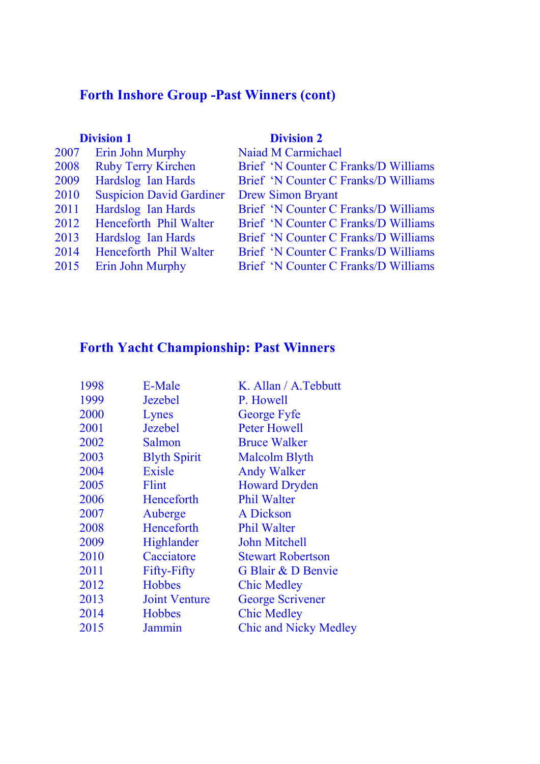### Forth Inshore Group -Past Winners (cont)

#### **Division 1** Division 2

| 2007 | Erin John Murphy                | <b>Naiad M Carmichael</b>            |
|------|---------------------------------|--------------------------------------|
| 2008 | <b>Ruby Terry Kirchen</b>       | Brief 'N Counter C Franks/D Williams |
| 2009 | Hardslog Ian Hards              | Brief 'N Counter C Franks/D Williams |
| 2010 | <b>Suspicion David Gardiner</b> | <b>Drew Simon Bryant</b>             |
| 2011 | Hardslog Ian Hards              | Brief 'N Counter C Franks/D Williams |
| 2012 | Henceforth Phil Walter          | Brief 'N Counter C Franks/D Williams |
| 2013 | Hardslog Ian Hards              | Brief 'N Counter C Franks/D Williams |
| 2014 | Henceforth Phil Walter          | Brief 'N Counter C Franks/D Williams |
| 2015 | Erin John Murphy                | Brief 'N Counter C Franks/D Williams |
|      |                                 |                                      |

## Forth Yacht Championship: Past Winners

| 1998 | E-Male               | K. Allan / A. Tebbutt        |
|------|----------------------|------------------------------|
| 1999 | <b>Jezebel</b>       | P. Howell                    |
| 2000 | Lynes                | <b>George Fyfe</b>           |
| 2001 | <b>Jezebel</b>       | <b>Peter Howell</b>          |
| 2002 | Salmon               | <b>Bruce Walker</b>          |
| 2003 | <b>Blyth Spirit</b>  | <b>Malcolm Blyth</b>         |
| 2004 | <b>Exisle</b>        | <b>Andy Walker</b>           |
| 2005 | Flint                | <b>Howard Dryden</b>         |
| 2006 | Henceforth           | <b>Phil Walter</b>           |
| 2007 | Auberge              | A Dickson                    |
| 2008 | Henceforth           | <b>Phil Walter</b>           |
| 2009 | Highlander           | <b>John Mitchell</b>         |
| 2010 | Cacciatore           | <b>Stewart Robertson</b>     |
| 2011 | <b>Fifty-Fifty</b>   | G Blair & D Benvie           |
| 2012 | <b>Hobbes</b>        | <b>Chic Medley</b>           |
| 2013 | <b>Joint Venture</b> | <b>George Scrivener</b>      |
| 2014 | <b>Hobbes</b>        | <b>Chic Medley</b>           |
| 2015 | Jammin               | <b>Chic and Nicky Medley</b> |
|      |                      |                              |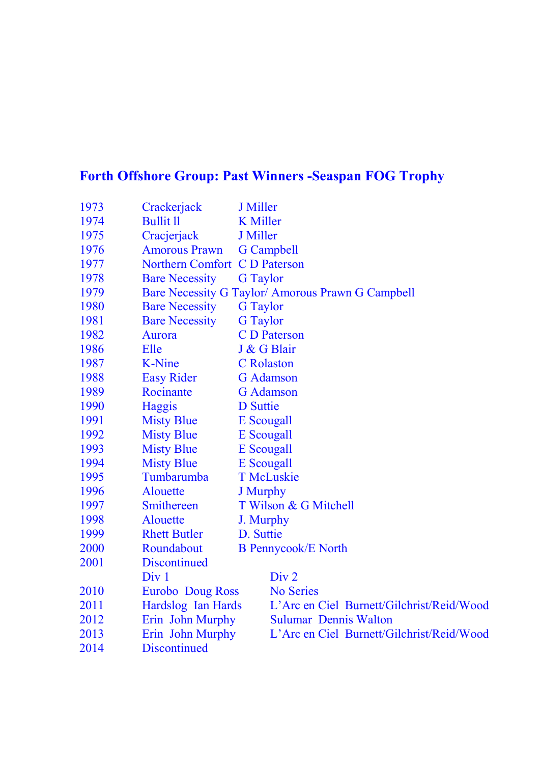## Forth Offshore Group: Past Winners -Seaspan FOG Trophy

| 1973 | Crackerjack             | <b>J</b> Miller   |                                                   |
|------|-------------------------|-------------------|---------------------------------------------------|
| 1974 | <b>Bullit ll</b>        | <b>K</b> Miller   |                                                   |
| 1975 | Cracjerjack             | J Miller          |                                                   |
| 1976 | <b>Amorous Prawn</b>    |                   | <b>G</b> Campbell                                 |
| 1977 | <b>Northern Comfort</b> |                   | C D Paterson                                      |
| 1978 | <b>Bare Necessity</b>   | <b>G</b> Taylor   |                                                   |
| 1979 |                         |                   | Bare Necessity G Taylor/ Amorous Prawn G Campbell |
| 1980 | <b>Bare Necessity</b>   | <b>G</b> Taylor   |                                                   |
| 1981 | <b>Bare Necessity</b>   | <b>G</b> Taylor   |                                                   |
| 1982 | Aurora                  |                   | <b>C</b> D Paterson                               |
| 1986 | Elle                    |                   | J & G Blair                                       |
| 1987 | <b>K-Nine</b>           | <b>C</b> Rolaston |                                                   |
| 1988 | <b>Easy Rider</b>       |                   | <b>G</b> Adamson                                  |
| 1989 | Rocinante               |                   | <b>G</b> Adamson                                  |
| 1990 | Haggis                  | <b>D</b> Suttie   |                                                   |
| 1991 | <b>Misty Blue</b>       | E Scougall        |                                                   |
| 1992 | <b>Misty Blue</b>       | <b>E</b> Scougall |                                                   |
| 1993 | <b>Misty Blue</b>       | <b>E</b> Scougall |                                                   |
| 1994 | <b>Misty Blue</b>       | E Scougall        |                                                   |
| 1995 | Tumbarumba              |                   | <b>T</b> McLuskie                                 |
| 1996 | Alouette                | <b>J</b> Murphy   |                                                   |
| 1997 | Smithereen              |                   | T Wilson & G Mitchell                             |
| 1998 | <b>Alouette</b>         | J. Murphy         |                                                   |
| 1999 | <b>Rhett Butler</b>     | D. Suttie         |                                                   |
| 2000 | Roundabout              |                   | <b>B</b> Pennycook/E North                        |
| 2001 | <b>Discontinued</b>     |                   |                                                   |
|      | Div <sub>1</sub>        |                   | Div 2                                             |
| 2010 | <b>Eurobo</b> Doug Ross |                   | <b>No Series</b>                                  |
| 2011 | Hardslog Ian Hards      |                   | L'Arc en Ciel Burnett/Gilchrist/Reid/Wood         |
| 2012 | Erin John Murphy        |                   | <b>Sulumar Dennis Walton</b>                      |
| 2013 | Erin John Murphy        |                   | L'Arc en Ciel Burnett/Gilchrist/Reid/Wood         |
| 2014 | <b>Discontinued</b>     |                   |                                                   |